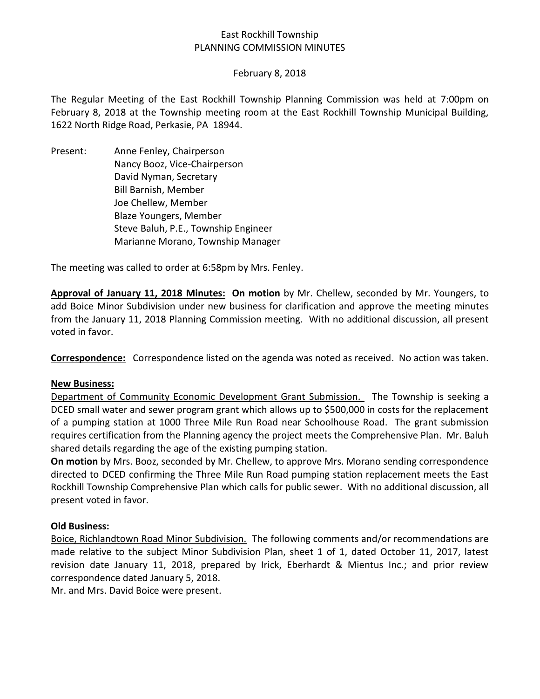# East Rockhill Township PLANNING COMMISSION MINUTES

### February 8, 2018

The Regular Meeting of the East Rockhill Township Planning Commission was held at 7:00pm on February 8, 2018 at the Township meeting room at the East Rockhill Township Municipal Building, 1622 North Ridge Road, Perkasie, PA 18944.

Present: Anne Fenley, Chairperson Nancy Booz, Vice-Chairperson David Nyman, Secretary Bill Barnish, Member Joe Chellew, Member Blaze Youngers, Member Steve Baluh, P.E., Township Engineer Marianne Morano, Township Manager

The meeting was called to order at 6:58pm by Mrs. Fenley.

**Approval of January 11, 2018 Minutes: On motion** by Mr. Chellew, seconded by Mr. Youngers, to add Boice Minor Subdivision under new business for clarification and approve the meeting minutes from the January 11, 2018 Planning Commission meeting. With no additional discussion, all present voted in favor.

**Correspondence:** Correspondence listed on the agenda was noted as received. No action was taken.

#### **New Business:**

Department of Community Economic Development Grant Submission. The Township is seeking a DCED small water and sewer program grant which allows up to \$500,000 in costs for the replacement of a pumping station at 1000 Three Mile Run Road near Schoolhouse Road. The grant submission requires certification from the Planning agency the project meets the Comprehensive Plan. Mr. Baluh shared details regarding the age of the existing pumping station.

**On motion** by Mrs. Booz, seconded by Mr. Chellew, to approve Mrs. Morano sending correspondence directed to DCED confirming the Three Mile Run Road pumping station replacement meets the East Rockhill Township Comprehensive Plan which calls for public sewer. With no additional discussion, all present voted in favor.

### **Old Business:**

Boice, Richlandtown Road Minor Subdivision. The following comments and/or recommendations are made relative to the subject Minor Subdivision Plan, sheet 1 of 1, dated October 11, 2017, latest revision date January 11, 2018, prepared by Irick, Eberhardt & Mientus Inc.; and prior review correspondence dated January 5, 2018.

Mr. and Mrs. David Boice were present.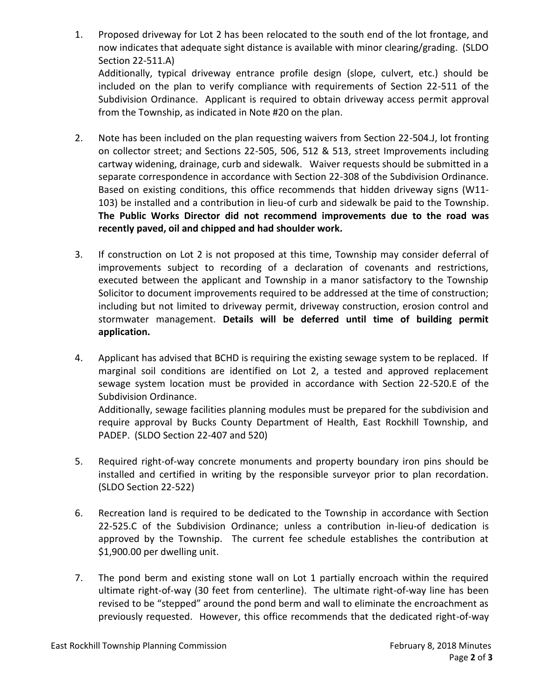1. Proposed driveway for Lot 2 has been relocated to the south end of the lot frontage, and now indicates that adequate sight distance is available with minor clearing/grading. (SLDO Section 22-511.A) Additionally, typical driveway entrance profile design (slope, culvert, etc.) should be included on the plan to verify compliance with requirements of Section 22-511 of the Subdivision Ordinance. Applicant is required to obtain driveway access permit approval

from the Township, as indicated in Note #20 on the plan.

- 2. Note has been included on the plan requesting waivers from Section 22-504.J, lot fronting on collector street; and Sections 22-505, 506, 512 & 513, street Improvements including cartway widening, drainage, curb and sidewalk. Waiver requests should be submitted in a separate correspondence in accordance with Section 22-308 of the Subdivision Ordinance. Based on existing conditions, this office recommends that hidden driveway signs (W11- 103) be installed and a contribution in lieu-of curb and sidewalk be paid to the Township. **The Public Works Director did not recommend improvements due to the road was recently paved, oil and chipped and had shoulder work.**
- 3. If construction on Lot 2 is not proposed at this time, Township may consider deferral of improvements subject to recording of a declaration of covenants and restrictions, executed between the applicant and Township in a manor satisfactory to the Township Solicitor to document improvements required to be addressed at the time of construction; including but not limited to driveway permit, driveway construction, erosion control and stormwater management. **Details will be deferred until time of building permit application.**
- 4. Applicant has advised that BCHD is requiring the existing sewage system to be replaced. If marginal soil conditions are identified on Lot 2, a tested and approved replacement sewage system location must be provided in accordance with Section 22-520.E of the Subdivision Ordinance.

Additionally, sewage facilities planning modules must be prepared for the subdivision and require approval by Bucks County Department of Health, East Rockhill Township, and PADEP. (SLDO Section 22-407 and 520)

- 5. Required right-of-way concrete monuments and property boundary iron pins should be installed and certified in writing by the responsible surveyor prior to plan recordation. (SLDO Section 22-522)
- 6. Recreation land is required to be dedicated to the Township in accordance with Section 22-525.C of the Subdivision Ordinance; unless a contribution in-lieu-of dedication is approved by the Township. The current fee schedule establishes the contribution at \$1,900.00 per dwelling unit.
- 7. The pond berm and existing stone wall on Lot 1 partially encroach within the required ultimate right-of-way (30 feet from centerline). The ultimate right-of-way line has been revised to be "stepped" around the pond berm and wall to eliminate the encroachment as previously requested. However, this office recommends that the dedicated right-of-way